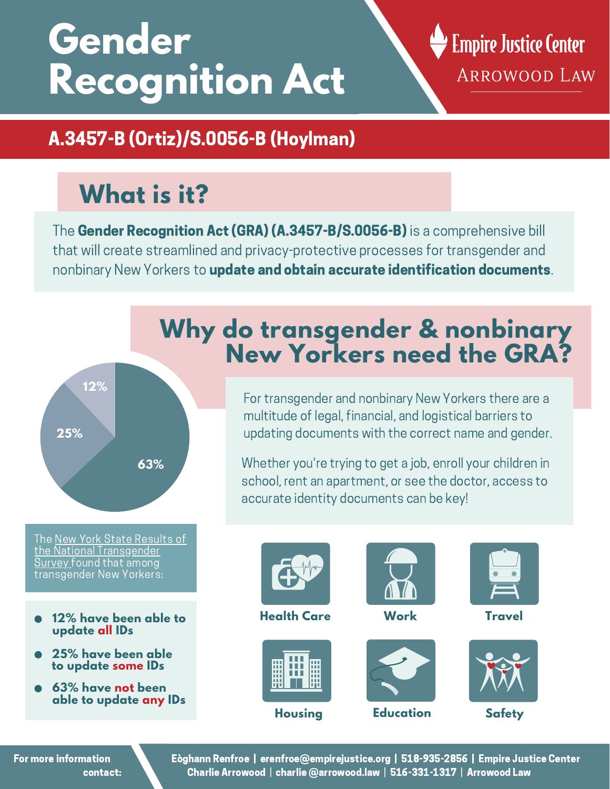# **Gender Recognition Act**

#### **Empire Justice Center** ARROWOOD LAW

#### A.3457-B (Ortiz)/S.0056-B (Hoylman)

## **What is it?**

The Gender Recognition Act (GRA) (A.3457-B/S.0056-B) is a comprehensive bill that will create streamlined and privacy-protective processes for transgender and nonbinary New Yorkers to update and obtain accurate identification documents.



The New York State Results of the National [Transgender](https://www.transequality.org/sites/default/files/USTS%20NY%20State%20Report%20%281017%29.pdf) Survey found that among transgender New Yorkers:

- **12% have been able to update all IDs**
- **25% have been able to update some IDs**
- **63% have not been able to update any IDs**

#### **Why do transgender & nonbinary New Yorkers need the GRA?**

For transgender and nonbinary New Yorkers there are a multitude of legal, financial, and logistical barriers to updating documents with the correct name and gender.

Whether you're trying to get a job, enroll your children in school, rent an apartment, or see the doctor, access to accurate identity documents can be key!



For more information contact: Eòghann Renfroe | erenfroe@empirejustice.org | 518-935-2856 | Empire Justice Center Charlie Arrowood | charlie @arrowood.law | 516-331-1317 | Arrowood Law